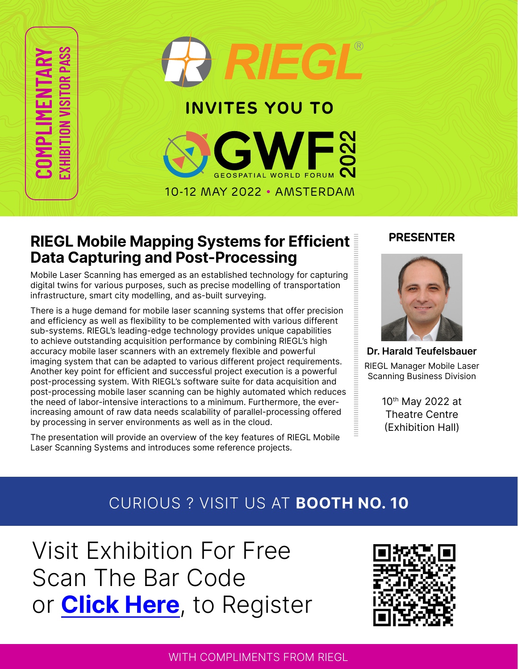**COMPLIMENTARY EXHIBITION VISITOR PASS**

# **INVITES YOU TO**

10-12 MAY 2022 • AMSTERDAM



Mobile Laser Scanning has emerged as an established technology for capturing digital twins for various purposes, such as precise modelling of transportation infrastructure, smart city modelling, and as-built surveying.

There is a huge demand for mobile laser scanning systems that offer precision and efficiency as well as flexibility to be complemented with various different sub-systems. RIEGL's leading-edge technology provides unique capabilities to achieve outstanding acquisition performance by combining RIEGL's high accuracy mobile laser scanners with an extremely flexible and powerful imaging system that can be adapted to various different project requirements. Another key point for efficient and successful project execution is a powerful post-processing system. With RIEGL's software suite for data acquisition and post-processing mobile laser scanning can be highly automated which reduces the need of labor-intensive interactions to a minimum. Furthermore, the everincreasing amount of raw data needs scalability of parallel-processing offered by processing in server environments as well as in the cloud.

The presentation will provide an overview of the key features of RIEGL Mobile Laser Scanning Systems and introduces some reference projects.

### **PRESENTER**



**Dr. Harald Teufelsbauer** RIEGL Manager Mobile Laser Scanning Business Division

> 10th May 2022 at Theatre Centre (Exhibition Hall)

# CURIOUS ? VISIT US AT **BOOTH NO. 10**

Visit Exhibition For Free Scan The Bar Code or **[Click Here](https://geospatialworldforum.org/express-registrationV.asp?cid=Riegl)**, to Register